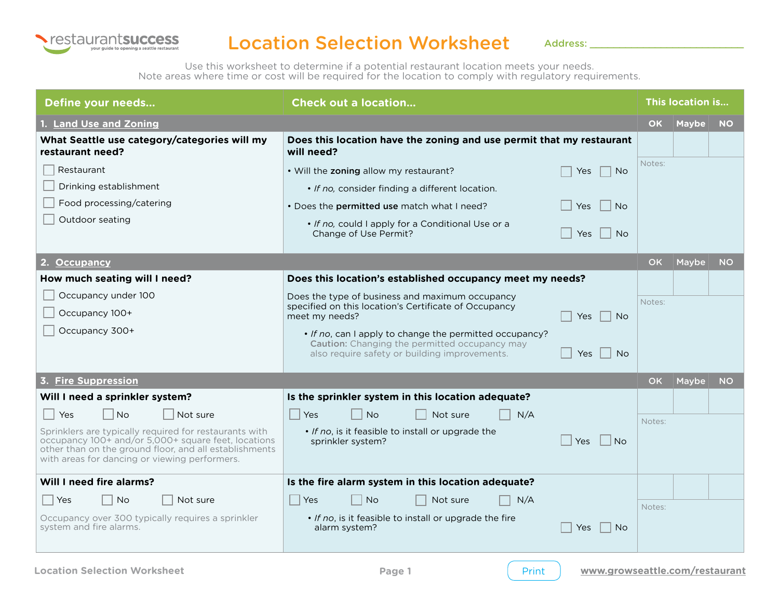

## Location Selection Worksheet

Address:

Use this worksheet to determine if a potential restaurant location meets your needs. Note areas where time or cost will be required for the location to comply with regulatory requirements.

| Define your needs                                                                                                                                                                                                        | <b>Check out a location</b>                                                                                                                                                          |           | This location is |           |  |
|--------------------------------------------------------------------------------------------------------------------------------------------------------------------------------------------------------------------------|--------------------------------------------------------------------------------------------------------------------------------------------------------------------------------------|-----------|------------------|-----------|--|
| 1. Land Use and Zoning                                                                                                                                                                                                   |                                                                                                                                                                                      | OK.       | <b>Maybe</b>     | <b>NO</b> |  |
| What Seattle use category/categories will my<br>restaurant need?                                                                                                                                                         | Does this location have the zoning and use permit that my restaurant<br>will need?                                                                                                   |           |                  |           |  |
| Restaurant<br>Drinking establishment                                                                                                                                                                                     | . Will the zoning allow my restaurant?<br>Yes<br>No.<br>• If no, consider finding a different location.                                                                              | Notes:    |                  |           |  |
| Food processing/catering                                                                                                                                                                                                 | . Does the permitted use match what I need?<br>Yes<br><b>No</b>                                                                                                                      |           |                  |           |  |
| Outdoor seating                                                                                                                                                                                                          | • If no, could I apply for a Conditional Use or a<br>Change of Use Permit?<br><b>Yes</b><br>No.                                                                                      |           |                  |           |  |
| 2. Occupancy                                                                                                                                                                                                             |                                                                                                                                                                                      | <b>OK</b> | Maybe            | <b>NO</b> |  |
| How much seating will I need?                                                                                                                                                                                            | Does this location's established occupancy meet my needs?                                                                                                                            |           |                  |           |  |
| Occupancy under 100<br>Occupancy 100+                                                                                                                                                                                    | Does the type of business and maximum occupancy<br>specified on this location's Certificate of Occupancy<br>meet my needs?<br>Yes<br>No.                                             | Notes:    |                  |           |  |
| Occupancy 300+                                                                                                                                                                                                           | • If no, can I apply to change the permitted occupancy?<br><b>Caution:</b> Changing the permitted occupancy may<br>also require safety or building improvements.<br><b>No</b><br>Yes |           |                  |           |  |
| 3. Fire Suppression                                                                                                                                                                                                      |                                                                                                                                                                                      | <b>OK</b> | Maybe            | <b>NO</b> |  |
| Will I need a sprinkler system?                                                                                                                                                                                          | Is the sprinkler system in this location adequate?                                                                                                                                   |           |                  |           |  |
| Yes<br><b>No</b><br>Not sure                                                                                                                                                                                             | <b>No</b><br>N/A<br><b>Yes</b><br>Not sure                                                                                                                                           | Notes:    |                  |           |  |
| Sprinklers are typically required for restaurants with<br>occupancy 100+ and/or 5,000+ square feet, locations<br>other than on the ground floor, and all establishments<br>with areas for dancing or viewing performers. | • If no, is it feasible to install or upgrade the<br>sprinkler system?<br>Yes<br>No                                                                                                  |           |                  |           |  |
| Will I need fire alarms?                                                                                                                                                                                                 | Is the fire alarm system in this location adequate?                                                                                                                                  |           |                  |           |  |
| Not sure<br>Yes<br><b>No</b>                                                                                                                                                                                             | Yes<br><b>No</b><br>Not sure<br>N/A                                                                                                                                                  | Notes:    |                  |           |  |
| Occupancy over 300 typically requires a sprinkler<br>system and fire alarms.                                                                                                                                             | . If no, is it feasible to install or upgrade the fire<br>alarm system?<br>Yes<br><b>No</b>                                                                                          |           |                  |           |  |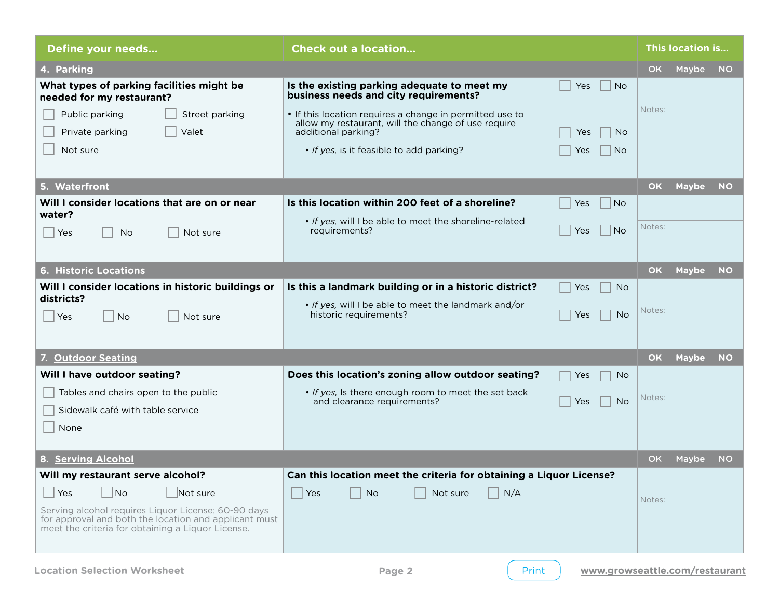| Define your needs                                                                                                                                                                                               | <b>Check out a location</b>                                                                                                                                |           | This location is |           |  |
|-----------------------------------------------------------------------------------------------------------------------------------------------------------------------------------------------------------------|------------------------------------------------------------------------------------------------------------------------------------------------------------|-----------|------------------|-----------|--|
| 4. Parking                                                                                                                                                                                                      |                                                                                                                                                            | <b>OK</b> | Maybe            | <b>NO</b> |  |
| What types of parking facilities might be<br>needed for my restaurant?                                                                                                                                          | Is the existing parking adequate to meet my<br>Yes<br><b>No</b><br>business needs and city requirements?                                                   |           |                  |           |  |
| Street parking<br>Public parking<br>Private parking<br>Valet                                                                                                                                                    | • If this location requires a change in permitted use to<br>allow my restaurant, will the change of use require<br>additional parking?<br><b>No</b><br>Yes | Notes:    |                  |           |  |
| Not sure                                                                                                                                                                                                        | • If yes, is it feasible to add parking?<br><b>No</b><br>Yes                                                                                               |           |                  |           |  |
| 5. Waterfront                                                                                                                                                                                                   |                                                                                                                                                            | <b>OK</b> | <b>Maybe</b>     | <b>NO</b> |  |
| Will I consider locations that are on or near                                                                                                                                                                   | Is this location within 200 feet of a shoreline?<br>No.<br>Yes                                                                                             |           |                  |           |  |
| water?<br>Not sure<br>∣ ∣Yes<br><b>No</b>                                                                                                                                                                       | . If yes, will I be able to meet the shoreline-related<br> No<br>Yes<br>requirements?                                                                      | Notes:    |                  |           |  |
| <b>6. Historic Locations</b>                                                                                                                                                                                    |                                                                                                                                                            | <b>OK</b> | <b>Maybe</b>     | <b>NO</b> |  |
| Will I consider locations in historic buildings or                                                                                                                                                              | Is this a landmark building or in a historic district?<br><b>No</b><br>Yes                                                                                 |           |                  |           |  |
| districts?<br><b>No</b><br>Not sure<br>  Yes                                                                                                                                                                    | . If yes, will I be able to meet the landmark and/or<br>historic requirements?<br><b>No</b><br>Yes                                                         | Notes:    |                  |           |  |
| 7. Outdoor Seating                                                                                                                                                                                              |                                                                                                                                                            | <b>OK</b> | <b>Maybe</b>     | <b>NO</b> |  |
| Will I have outdoor seating?                                                                                                                                                                                    | Does this location's zoning allow outdoor seating?<br>Yes<br>No.                                                                                           |           |                  |           |  |
| Tables and chairs open to the public<br>Sidewalk café with table service<br>None                                                                                                                                | . If yes, Is there enough room to meet the set back<br>and clearance requirements?<br><b>No</b><br>Yes                                                     | Notes:    |                  |           |  |
| 8. Serving Alcohol                                                                                                                                                                                              |                                                                                                                                                            | <b>OK</b> | Maybe            | <b>NO</b> |  |
| Will my restaurant serve alcohol?                                                                                                                                                                               | Can this location meet the criteria for obtaining a Liquor License?                                                                                        |           |                  |           |  |
| $\Box$ No<br>$\Box$ Not sure<br>$\Box$ Yes<br>Serving alcohol requires Liquor License; 60-90 days<br>for approval and both the location and applicant must<br>meet the criteria for obtaining a Liquor License. | N/A<br>Yes<br><b>No</b><br>Not sure                                                                                                                        | Notes:    |                  |           |  |

Print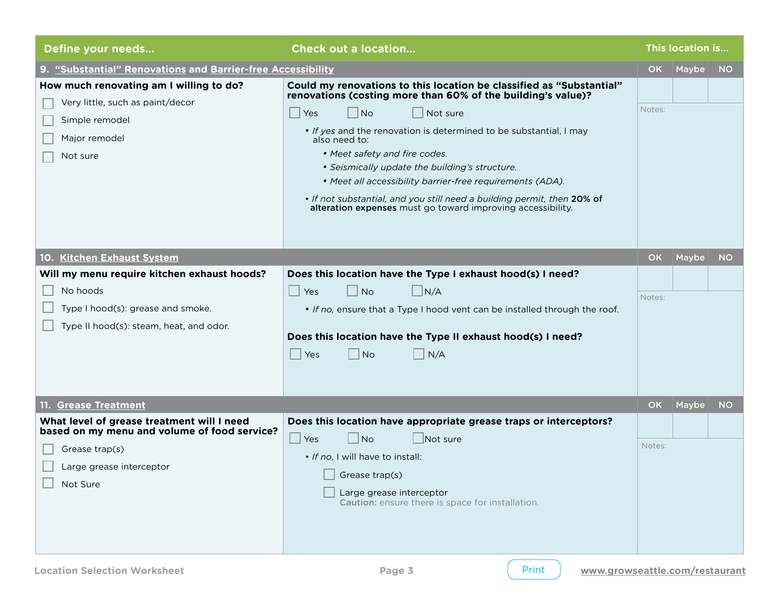| Define your needs                                                                                                                                    | <b>Check out a location</b>                                                                                                                                                                                                                                                                                                                                                                                                                                                                                                                        | This location is |       |           |
|------------------------------------------------------------------------------------------------------------------------------------------------------|----------------------------------------------------------------------------------------------------------------------------------------------------------------------------------------------------------------------------------------------------------------------------------------------------------------------------------------------------------------------------------------------------------------------------------------------------------------------------------------------------------------------------------------------------|------------------|-------|-----------|
| 9. "Substantial" Renovations and Barrier-free Accessibility                                                                                          |                                                                                                                                                                                                                                                                                                                                                                                                                                                                                                                                                    | <b>OK</b>        | Maybe | <b>NO</b> |
| How much renovating am I willing to do?<br>Very little, such as paint/decor<br>Simple remodel<br>Major remodel<br>Not sure                           | Could my renovations to this location be classified as "Substantial"<br>renovations (costing more than 60% of the building's value)?<br>$ $ Yes<br>No<br>Not sure<br>• If yes and the renovation is determined to be substantial, I may<br>also need to:<br>• Meet safety and fire codes.<br>• Seismically update the building's structure.<br>• Meet all accessibility barrier-free requirements (ADA).<br>. If not substantial, and you still need a building permit, then 20% of<br>alteration expenses must go toward improving accessibility. | Notes:           |       |           |
| 10. Kitchen Exhaust System                                                                                                                           |                                                                                                                                                                                                                                                                                                                                                                                                                                                                                                                                                    | <b>OK</b>        | Maybe | <b>NO</b> |
| Will my menu require kitchen exhaust hoods?<br>No hoods<br>Type I hood(s): grease and smoke.<br>Type II hood(s): steam, heat, and odor.              | Does this location have the Type I exhaust hood(s) I need?<br><b>No</b><br>$\Box$ N/A<br>$\blacksquare$<br>Yes<br>. If no, ensure that a Type I hood vent can be installed through the roof.<br>Does this location have the Type II exhaust hood(s) I need?<br>$ $ No<br>N/A<br>Yes                                                                                                                                                                                                                                                                | Notes:           |       |           |
| 11. Grease Treatment                                                                                                                                 |                                                                                                                                                                                                                                                                                                                                                                                                                                                                                                                                                    | <b>OK</b>        | Maybe | <b>NO</b> |
| What level of grease treatment will I need<br>based on my menu and volume of food service?<br>Grease trap(s)<br>Large grease interceptor<br>Not Sure | Does this location have appropriate grease traps or interceptors?<br>No<br>$\Box$ Not sure<br>- 1<br>Yes<br>. If no, I will have to install:<br>Grease trap(s)<br>Large grease interceptor<br>Caution: ensure there is space for installation.                                                                                                                                                                                                                                                                                                     | Notes:           |       |           |